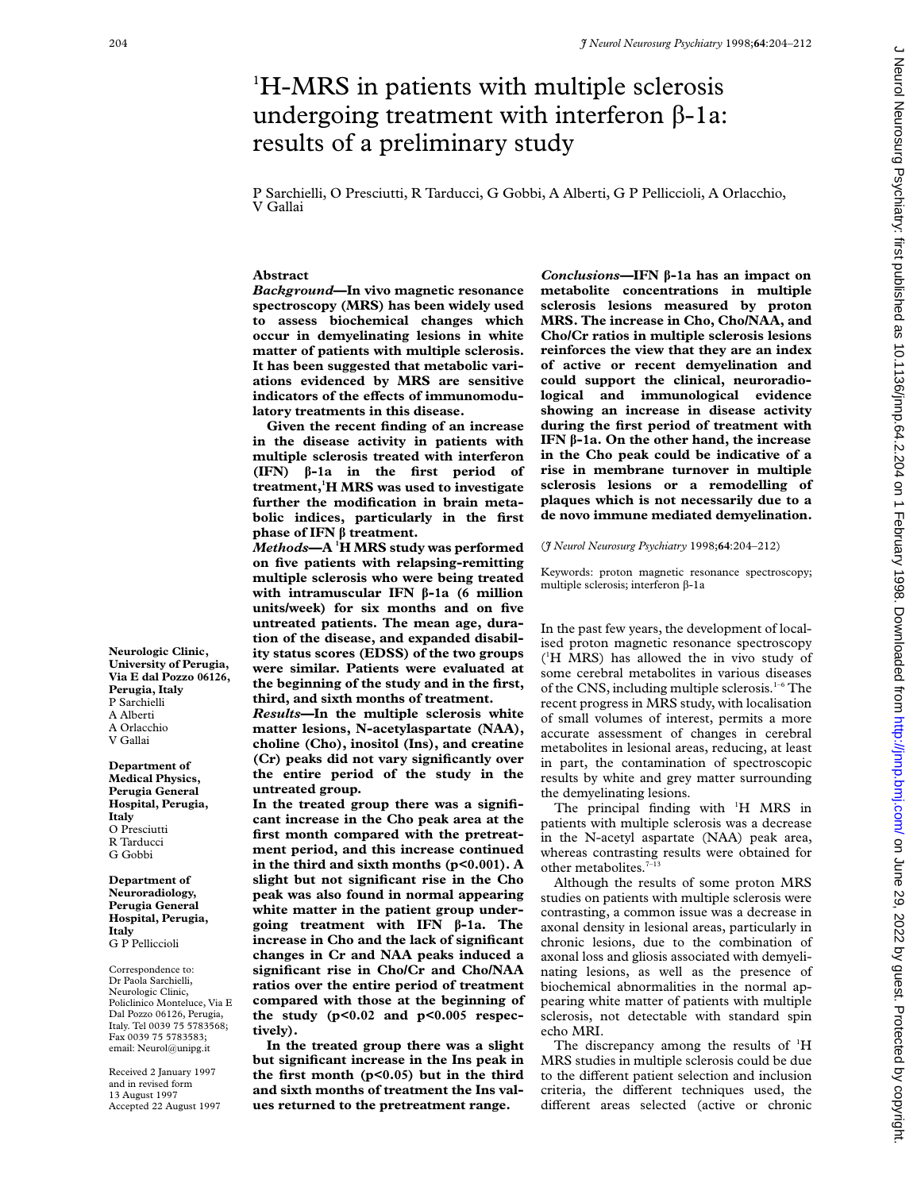# <sup>1</sup>H-MRS in patients with multiple sclerosis undergoing treatment with interferon  $\beta$ -1a: results of a preliminary study

P Sarchielli, O Presciutti, R Tarducci, G Gobbi, A Alberti, G P Pelliccioli, A Orlacchio, V Gallai

# **Abstract**

*Background***—In vivo magnetic resonance spectroscopy (MRS) has been widely used to assess biochemical changes which occur in demyelinating lesions in white matter of patients with multiple sclerosis. It has been suggested that metabolic variations evidenced by MRS are sensitive** indicators of the effects of immunomodu**latory treatments in this disease.**

**Given the recent finding of an increase in the disease activity in patients with multiple sclerosis treated with interferon (IFN) â-1a in the first period of treatment,1 H MRS was used to investigate further the modification in brain metabolic indices, particularly in the first phase of IFN â treatment.**

*Methods***—A <sup>1</sup> H MRS study was performed on five patients with relapsing-remitting multiple sclerosis who were being treated with intramuscular IFN â-1a (6 million units/week) for six months and on five untreated patients. The mean age, duration of the disease, and expanded disability status scores (EDSS) of the two groups were similar. Patients were evaluated at the beginning of the study and in the first, third, and sixth months of treatment.**

*Results***—In the multiple sclerosis white matter lesions, N-acetylaspartate (NAA), choline (Cho), inositol (Ins), and creatine (Cr) peaks did not vary significantly over the entire period of the study in the untreated group.**

**In the treated group there was a significant increase in the Cho peak area at the first month compared with the pretreatment period, and this increase continued in the third and sixth months (p<0.001). A slight but not significant rise in the Cho peak was also found in normal appearing white matter in the patient group undergoing treatment with IFN â-1a. The increase in Cho and the lack of significant changes in Cr and NAA peaks induced a significant rise in Cho/Cr and Cho/NAA ratios over the entire period of treatment compared with those at the beginning of the study (p<0.02 and p<0.005 respectively).**

**In the treated group there was a slight but significant increase in the Ins peak in the first month (p<0.05) but in the third and sixth months of treatment the Ins values returned to the pretreatment range.**

*Conclusions***—IFN â-1a has an impact on metabolite concentrations in multiple sclerosis lesions measured by proton MRS. The increase in Cho, Cho/NAA, and Cho/Cr ratios in multiple sclerosis lesions reinforces the view that they are an index of active or recent demyelination and could support the clinical, neuroradiological and immunological evidence showing an increase in disease activity during the first period of treatment with IFN â-1a. On the other hand, the increase in the Cho peak could be indicative of a rise in membrane turnover in multiple sclerosis lesions or a remodelling of plaques which is not necessarily due to a de novo immune mediated demyelination.**

(*J Neurol Neurosurg Psychiatry* 1998;**64**:204–212)

Keywords: proton magnetic resonance spectroscopy; multiple sclerosis; interferon β-1a

In the past few years, the development of localised proton magnetic resonance spectroscopy ( 1 H MRS) has allowed the in vivo study of some cerebral metabolites in various diseases of the CNS, including multiple sclerosis.<sup>1-6</sup> The recent progress in MRS study, with localisation of small volumes of interest, permits a more accurate assessment of changes in cerebral metabolites in lesional areas, reducing, at least in part, the contamination of spectroscopic results by white and grey matter surrounding the demyelinating lesions.

The principal finding with <sup>1</sup>H MRS in patients with multiple sclerosis was a decrease in the N-acetyl aspartate (NAA) peak area, whereas contrasting results were obtained for other metabolites.<sup>7-1</sup>

Although the results of some proton MRS studies on patients with multiple sclerosis were contrasting, a common issue was a decrease in axonal density in lesional areas, particularly in chronic lesions, due to the combination of axonal loss and gliosis associated with demyelinating lesions, as well as the presence of biochemical abnormalities in the normal appearing white matter of patients with multiple sclerosis, not detectable with standard spin echo MRI.

The discrepancy among the results of  $H$ MRS studies in multiple sclerosis could be due to the different patient selection and inclusion criteria, the different techniques used, the different areas selected (active or chronic

**Neurologic Clinic, University of Perugia, Via E dal Pozzo 06126, Perugia, Italy** P Sarchielli A Alberti A Orlacchio V Gallai

**Department of Medical Physics, Perugia General Hospital, Perugia, Italy** O Presciutti R Tarducci G Gobbi

**Department of Neuroradiology, Perugia General Hospital, Perugia, Italy** G P Pelliccioli

Correspondence to: Dr Paola Sarchielli, Neurologic Clinic, Policlinico Monteluce, Via E Dal Pozzo 06126, Perugia, Italy. Tel 0039 75 5783568; Fax 0039 75 5783583; email: Neurol@unipg.it

Received 2 January 1997 and in revised form 13 August 1997 Accepted 22 August 1997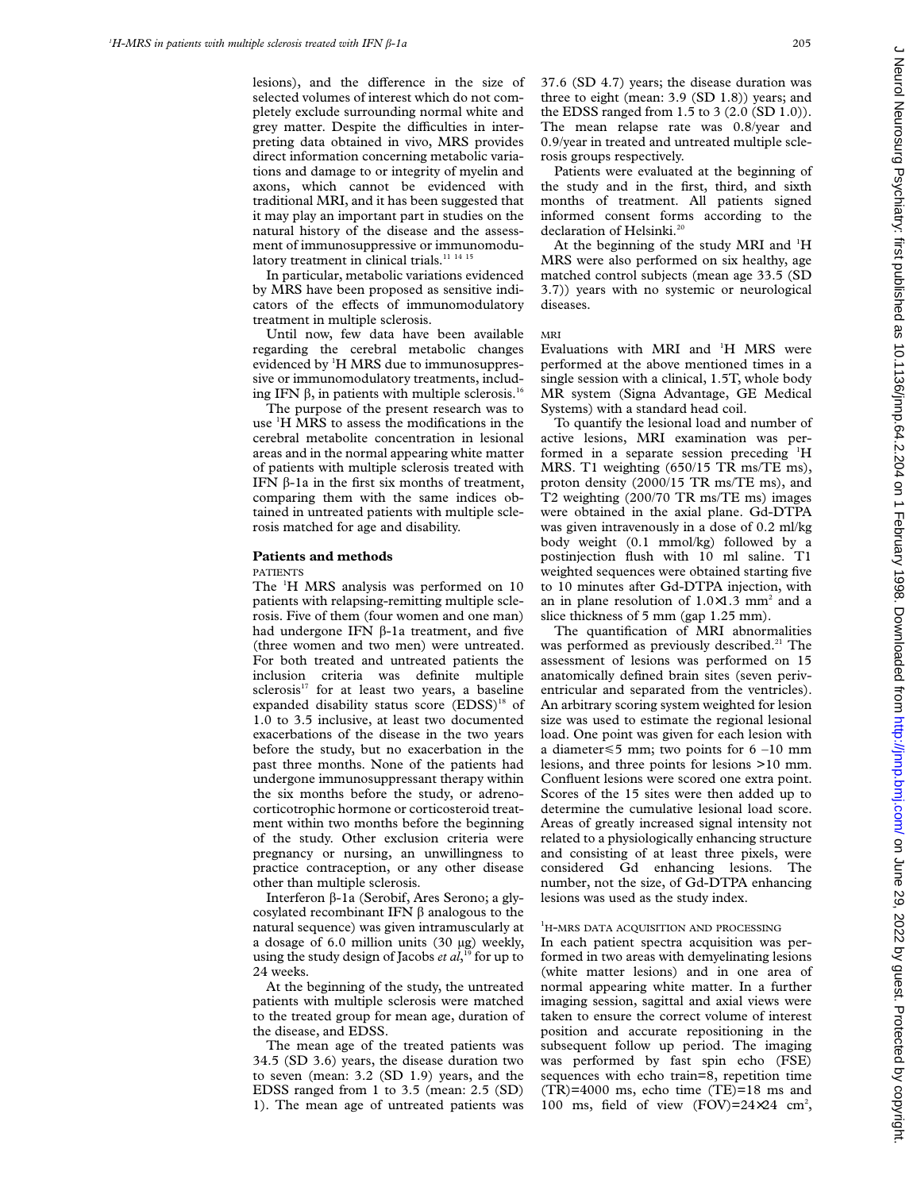lesions), and the difference in the size of selected volumes of interest which do not completely exclude surrounding normal white and grey matter. Despite the difficulties in interpreting data obtained in vivo, MRS provides direct information concerning metabolic variations and damage to or integrity of myelin and axons, which cannot be evidenced with traditional MRI, and it has been suggested that it may play an important part in studies on the natural history of the disease and the assessment of immunosuppressive or immunomodulatory treatment in clinical trials.<sup>11</sup> <sup>14</sup> <sup>15</sup>

In particular, metabolic variations evidenced by MRS have been proposed as sensitive indicators of the effects of immunomodulatory treatment in multiple sclerosis.

Until now, few data have been available regarding the cerebral metabolic changes evidenced by <sup>1</sup>H MRS due to immunosuppressive or immunomodulatory treatments, including IFN  $\beta$ , in patients with multiple sclerosis.<sup>16</sup>

The purpose of the present research was to use <sup>1</sup>H MRS to assess the modifications in the cerebral metabolite concentration in lesional areas and in the normal appearing white matter of patients with multiple sclerosis treated with IFN  $\beta$ -1a in the first six months of treatment, comparing them with the same indices obtained in untreated patients with multiple sclerosis matched for age and disability.

#### **Patients and methods**

PATIENTS

The <sup>1</sup>H MRS analysis was performed on 10 patients with relapsing-remitting multiple sclerosis. Five of them (four women and one man) had undergone IFN  $\beta$ -1a treatment, and five (three women and two men) were untreated. For both treated and untreated patients the inclusion criteria was definite multiple sclerosis<sup>17</sup> for at least two years, a baseline expanded disability status score (EDSS)<sup>18</sup> of 1.0 to 3.5 inclusive, at least two documented exacerbations of the disease in the two years before the study, but no exacerbation in the past three months. None of the patients had undergone immunosuppressant therapy within the six months before the study, or adrenocorticotrophic hormone or corticosteroid treatment within two months before the beginning of the study. Other exclusion criteria were pregnancy or nursing, an unwillingness to practice contraception, or any other disease other than multiple sclerosis.

Interferon â-1a (Serobif, Ares Serono; a glycosylated recombinant IFN  $\beta$  analogous to the natural sequence) was given intramuscularly at a dosage of 6.0 million units (30 µg) weekly, using the study design of Jacobs *et al*, <sup>19</sup> for up to 24 weeks.

At the beginning of the study, the untreated patients with multiple sclerosis were matched to the treated group for mean age, duration of the disease, and EDSS.

The mean age of the treated patients was 34.5 (SD 3.6) years, the disease duration two to seven (mean: 3.2 (SD 1.9) years, and the EDSS ranged from 1 to 3.5 (mean: 2.5 (SD) 1). The mean age of untreated patients was 37.6 (SD 4.7) years; the disease duration was three to eight (mean: 3.9 (SD 1.8)) years; and the EDSS ranged from 1.5 to 3 (2.0 (SD 1.0)). The mean relapse rate was 0.8/year and 0.9/year in treated and untreated multiple sclerosis groups respectively.

Patients were evaluated at the beginning of the study and in the first, third, and sixth months of treatment. All patients signed informed consent forms according to the declaration of Helsinki.<sup>20</sup>

At the beginning of the study MRI and <sup>1</sup>H MRS were also performed on six healthy, age matched control subjects (mean age 33.5 (SD 3.7)) years with no systemic or neurological diseases.

MRI

Evaluations with MRI and <sup>1</sup>H MRS were performed at the above mentioned times in a single session with a clinical, 1.5T, whole body MR system (Signa Advantage, GE Medical Systems) with a standard head coil.

To quantify the lesional load and number of active lesions, MRI examination was performed in a separate session preceding <sup>1</sup>H MRS. T1 weighting (650/15 TR ms/TE ms), proton density (2000/15 TR ms/TE ms), and T2 weighting (200/70 TR ms/TE ms) images were obtained in the axial plane. Gd-DTPA was given intravenously in a dose of 0.2 ml/kg body weight (0.1 mmol/kg) followed by a postinjection flush with 10 ml saline. T1 weighted sequences were obtained starting five to 10 minutes after Gd-DTPA injection, with an in plane resolution of  $1.0 \times 1.3$  mm<sup>2</sup> and a slice thickness of 5 mm (gap 1.25 mm).

The quantification of MRI abnormalities was performed as previously described. $21$  The assessment of lesions was performed on 15 anatomically defined brain sites (seven periventricular and separated from the ventricles). An arbitrary scoring system weighted for lesion size was used to estimate the regional lesional load. One point was given for each lesion with a diameter  $\leq 5$  mm; two points for 6 –10 mm lesions, and three points for lesions >10 mm. Confluent lesions were scored one extra point. Scores of the 15 sites were then added up to determine the cumulative lesional load score. Areas of greatly increased signal intensity not related to a physiologically enhancing structure and consisting of at least three pixels, were considered Gd enhancing lesions. The number, not the size, of Gd-DTPA enhancing lesions was used as the study index.

## <sup>1</sup>H-MRS DATA ACQUISITION AND PROCESSING

In each patient spectra acquisition was performed in two areas with demyelinating lesions (white matter lesions) and in one area of normal appearing white matter. In a further imaging session, sagittal and axial views were taken to ensure the correct volume of interest position and accurate repositioning in the subsequent follow up period. The imaging was performed by fast spin echo (FSE) sequences with echo train=8, repetition time (TR)=4000 ms, echo time (TE)=18 ms and 100 ms, field of view (FOV)= $24 \times 24$  cm<sup>2</sup>,

 $\subset$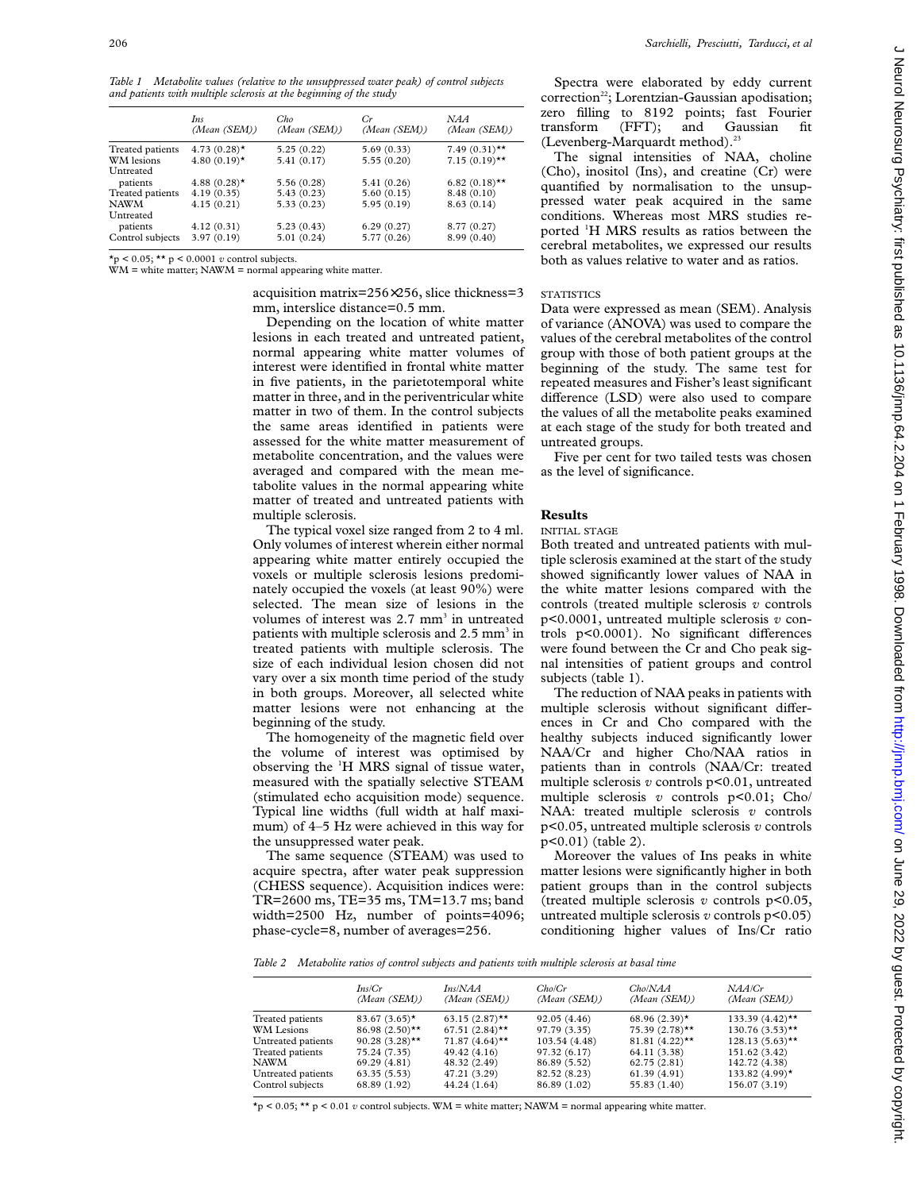*Table 1 Metabolite values (relative to the unsuppressed water peak) of control subjects and patients with multiple sclerosis at the beginning of the study*

|                  | Ins<br>(Mean (SEM))        | Cho<br>(Mean (SEM)) | Gr<br>(Mean (SEM)) | NAA<br>(Mean (SEM)) |
|------------------|----------------------------|---------------------|--------------------|---------------------|
| Treated patients | $4.73(0.28)$ *             | 5.25(0.22)          | 5.69(0.33)         | $7.49(0.31)$ **     |
| WM lesions       | 4.80 $(0.19)$ <sup>*</sup> | 5.41(0.17)          | 5.55(0.20)         | $7.15(0.19)$ **     |
| Untreated        |                            |                     |                    |                     |
| patients         | 4.88 $(0.28)$ <sup>*</sup> | 5.56 (0.28)         | 5.41(0.26)         | $6.82(0.18)$ **     |
| Treated patients | 4.19(0.35)                 | 5.43(0.23)          | 5.60(0.15)         | 8.48 (0.10)         |
| <b>NAWM</b>      | 4.15(0.21)                 | 5.33(0.23)          | 5.95(0.19)         | 8.63(0.14)          |
| Untreated        |                            |                     |                    |                     |
| patients         | 4.12(0.31)                 | 5.23(0.43)          | 6.29(0.27)         | 8.77 (0.27)         |
| Control subjects | 3.97(0.19)                 | 5.01(0.24)          | 5.77 (0.26)        | 8.99(0.40)          |

 $*_p$  < 0.05;  $**$  p < 0.0001 *v* control subjects.

 $\overline{WM}$  = white matter;  $NAWM$  = normal appearing white matter.

acquisition matrix=256×256, slice thickness=3 mm, interslice distance=0.5 mm.

Depending on the location of white matter lesions in each treated and untreated patient, normal appearing white matter volumes of interest were identified in frontal white matter in five patients, in the parietotemporal white matter in three, and in the periventricular white matter in two of them. In the control subjects the same areas identified in patients were assessed for the white matter measurement of metabolite concentration, and the values were averaged and compared with the mean metabolite values in the normal appearing white matter of treated and untreated patients with multiple sclerosis.

The typical voxel size ranged from 2 to 4 ml. Only volumes of interest wherein either normal appearing white matter entirely occupied the voxels or multiple sclerosis lesions predominately occupied the voxels (at least 90%) were selected. The mean size of lesions in the volumes of interest was  $2.7$  mm<sup>3</sup> in untreated patients with multiple sclerosis and  $2.5$  mm<sup>3</sup> in treated patients with multiple sclerosis. The size of each individual lesion chosen did not vary over a six month time period of the study in both groups. Moreover, all selected white matter lesions were not enhancing at the beginning of the study.

The homogeneity of the magnetic field over the volume of interest was optimised by observing the <sup>1</sup>H MRS signal of tissue water, measured with the spatially selective STEAM (stimulated echo acquisition mode) sequence. Typical line widths (full width at half maximum) of 4–5 Hz were achieved in this way for the unsuppressed water peak.

The same sequence (STEAM) was used to acquire spectra, after water peak suppression (CHESS sequence). Acquisition indices were: TR=2600 ms, TE=35 ms, TM=13.7 ms; band width=2500 Hz, number of points=4096; phase-cycle=8, number of averages=256.

Spectra were elaborated by eddy current correction<sup>22</sup>; Lorentzian-Gaussian apodisation; zero filling to 8192 points; fast Fourier transform (FFT); and Gaussian fit (Levenberg-Marquardt method).<sup>23</sup>

The signal intensities of NAA, choline (Cho), inositol (Ins), and creatine (Cr) were quantified by normalisation to the unsuppressed water peak acquired in the same conditions. Whereas most MRS studies reported <sup>1</sup> H MRS results as ratios between the cerebral metabolites, we expressed our results both as values relative to water and as ratios.

# **STATISTICS**

Data were expressed as mean (SEM). Analysis of variance (ANOVA) was used to compare the values of the cerebral metabolites of the control group with those of both patient groups at the beginning of the study. The same test for repeated measures and Fisher's least significant difference (LSD) were also used to compare the values of all the metabolite peaks examined at each stage of the study for both treated and untreated groups.

Five per cent for two tailed tests was chosen as the level of significance.

#### **Results**

#### INITIAL STAGE

Both treated and untreated patients with multiple sclerosis examined at the start of the study showed significantly lower values of NAA in the white matter lesions compared with the controls (treated multiple sclerosis *v* controls p<0.0001, untreated multiple sclerosis *v* controls  $p<0.0001$ ). No significant differences were found between the Cr and Cho peak signal intensities of patient groups and control subjects (table 1).

The reduction of NAA peaks in patients with multiple sclerosis without significant differences in Cr and Cho compared with the healthy subjects induced significantly lower NAA/Cr and higher Cho/NAA ratios in patients than in controls (NAA/Cr: treated multiple sclerosis *v* controls p<0.01, untreated multiple sclerosis *v* controls p<0.01; Cho/ NAA: treated multiple sclerosis *v* controls p<0.05, untreated multiple sclerosis *v* controls p<0.01) (table 2).

Moreover the values of Ins peaks in white matter lesions were significantly higher in both patient groups than in the control subjects (treated multiple sclerosis *v* controls p<0.05, untreated multiple sclerosis  $v$  controls  $p<0.05$ ) conditioning higher values of Ins/Cr ratio

*Table 2 Metabolite ratios of control subjects and patients with multiple sclerosis at basal time*

|                    | Ins/Cr<br>(Mean (SEM))       | Ins/NAA<br>(Mean (SEM)) | CholCr<br>(Mean (SEM)) | Cho/NAA<br>(Mean (SEM))      | NAA/Cr<br>(Mean (SEM)) |
|--------------------|------------------------------|-------------------------|------------------------|------------------------------|------------------------|
| Treated patients   | $83.67(3.65)$ *              | $63.15(2.87)$ **        | 92.05(4.46)            | $68.96(2.39)$ *              | 133.39 $(4.42)$ **     |
| WM Lesions         | $86.98(2.50)$ **             | $67.51(2.84)$ **        | 97.79 (3.35)           | $75.39(2.78)$ **             | $130.76(3.53)$ **      |
| Untreated patients | 90.28 $(3.28)$ <sup>**</sup> | $71.87(4.64)$ **        | 103.54 (4.48)          | 81.81 $(4.22)$ <sup>**</sup> | $128.13(5.63)$ **      |
| Treated patients   | 75.24 (7.35)                 | 49.42 (4.16)            | 97.32(6.17)            | 64.11 (3.38)                 | 151.62 (3.42)          |
| <b>NAWM</b>        | 69.29(4.81)                  | 48.32 (2.49)            | 86.89 (5.52)           | 62.75(2.81)                  | 142.72 (4.38)          |
| Untreated patients | 63.35(5.53)                  | 47.21 (3.29)            | 82.52 (8.23)           | 61.39(4.91)                  | 133.82 (4.99)*         |
| Control subjects   | 68.89 (1.92)                 | 44.24 (1.64)            | 86.89 (1.02)           | 55.83 (1.40)                 | 156.07 (3.19)          |

\*p < 0.05; \*\* p < 0.01 *v* control subjects. WM = white matter; NAWM = normal appearing white matter.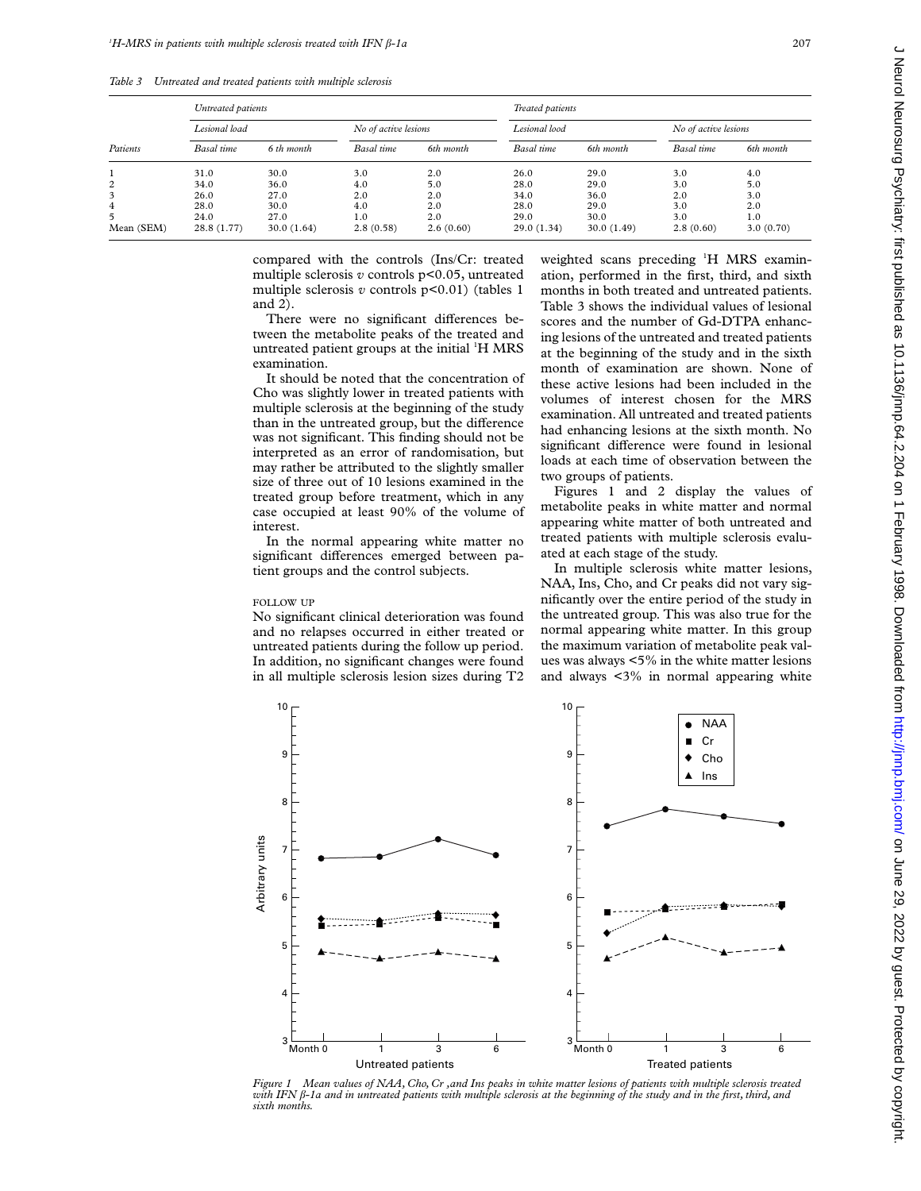|            | Untreated patients |            |                      |           | Treated patients |            |                      |           |
|------------|--------------------|------------|----------------------|-----------|------------------|------------|----------------------|-----------|
|            | Lesional load      |            | No of active lesions |           | Lesional lood    |            | No of active lesions |           |
| Patients   | Basal time         | 6 th month | Basal time           | 6th month | Basal time       | 6th month  | Basal time           | 6th month |
|            | 31.0               | 30.0       | 3.0                  | 2.0       | 26.0             | 29.0       | 3.0                  | 4.0       |
| 2          | 34.0               | 36.0       | 4.0                  | 5.0       | 28.0             | 29.0       | 3.0                  | 5.0       |
| 3          | 26.0               | 27.0       | 2.0                  | 2.0       | 34.0             | 36.0       | 2.0                  | 3.0       |
| 4          | 28.0               | 30.0       | 4.0                  | 2.0       | 28.0             | 29.0       | 3.0                  | 2.0       |
| 5.         | 24.0               | 27.0       | 1.0                  | 2.0       | 29.0             | 30.0       | 3.0                  | 1.0       |
| Mean (SEM) | 28.8(1.77)         | 30.0(1.64) | 2.8(0.58)            | 2.6(0.60) | 29.0(1.34)       | 30.0(1.49) | 2.8(0.60)            | 3.0(0.70) |

compared with the controls (Ins/Cr: treated multiple sclerosis *v* controls p<0.05, untreated multiple sclerosis *v* controls p<0.01) (tables 1 and 2).

There were no significant differences between the metabolite peaks of the treated and untreated patient groups at the initial <sup>1</sup>H MRS examination.

It should be noted that the concentration of Cho was slightly lower in treated patients with multiple sclerosis at the beginning of the study than in the untreated group, but the difference was not significant. This finding should not be interpreted as an error of randomisation, but may rather be attributed to the slightly smaller size of three out of 10 lesions examined in the treated group before treatment, which in any case occupied at least 90% of the volume of interest.

In the normal appearing white matter no significant differences emerged between patient groups and the control subjects.

### FOLLOW UP

No significant clinical deterioration was found and no relapses occurred in either treated or untreated patients during the follow up period. In addition, no significant changes were found in all multiple sclerosis lesion sizes during T2

weighted scans preceding <sup>1</sup>H MRS examination, performed in the first, third, and sixth months in both treated and untreated patients. Table 3 shows the individual values of lesional scores and the number of Gd-DTPA enhancing lesions of the untreated and treated patients at the beginning of the study and in the sixth month of examination are shown. None of these active lesions had been included in the volumes of interest chosen for the MRS examination. All untreated and treated patients had enhancing lesions at the sixth month. No significant difference were found in lesional loads at each time of observation between the two groups of patients.

Figures 1 and 2 display the values of metabolite peaks in white matter and normal appearing white matter of both untreated and treated patients with multiple sclerosis evaluated at each stage of the study.

In multiple sclerosis white matter lesions, NAA, Ins, Cho, and Cr peaks did not vary significantly over the entire period of the study in the untreated group. This was also true for the normal appearing white matter. In this group the maximum variation of metabolite peak values was always <5% in the white matter lesions and always <3% in normal appearing white



*Figure 1 Mean values of NAA, Cho, Cr ,and Ins peaks in white matter lesions of patients with multiple sclerosis treated with IFN â-1a and in untreated patients with multiple sclerosis at the beginning of the study and in the first, third, and sixth months.*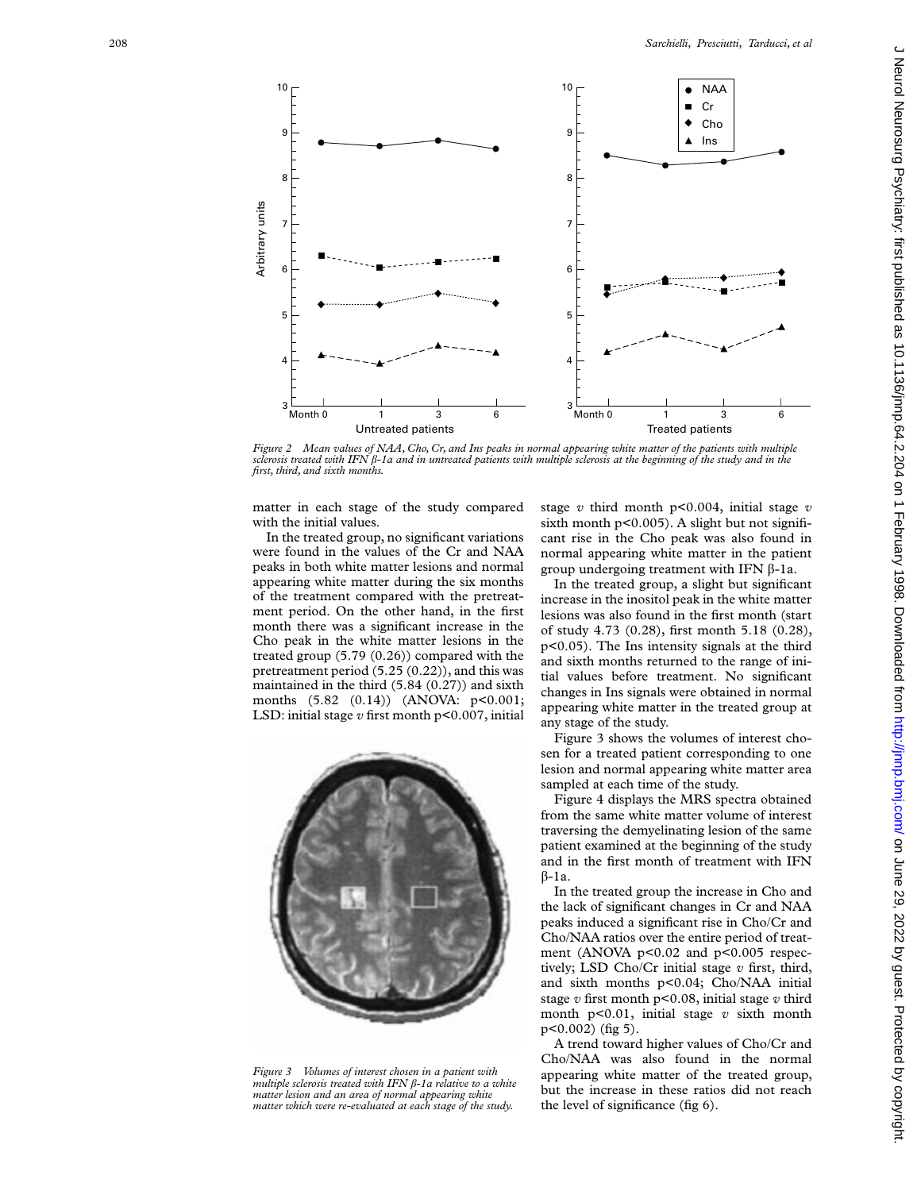

*Figure 2 Mean values of NAA, Cho, Cr, and Ins peaks in normal appearing white matter of the patients with multiple sclerosis treated with IFN â-1a and in untreated patients with multiple sclerosis at the beginning of the study and in the first, third, and sixth months.*

matter in each stage of the study compared with the initial values.

In the treated group, no significant variations were found in the values of the Cr and NAA peaks in both white matter lesions and normal appearing white matter during the six months of the treatment compared with the pretreatment period. On the other hand, in the first month there was a significant increase in the Cho peak in the white matter lesions in the treated group (5.79 (0.26)) compared with the pretreatment period (5.25 (0.22)), and this was maintained in the third (5.84 (0.27)) and sixth months (5.82 (0.14)) (ANOVA: p<0.001; LSD: initial stage *v* first month p<0.007, initial



*Figure 3 Volumes of interest chosen in a patient with multiple sclerosis treated with IFN â-1a relative to a white matter lesion and an area of normal appearing white matter which were re-evaluated at each stage of the study.*

stage *v* third month p<0.004, initial stage *v* sixth month  $p<0.005$ ). A slight but not significant rise in the Cho peak was also found in normal appearing white matter in the patient group undergoing treatment with IFN  $\beta$ -1a.

In the treated group, a slight but significant increase in the inositol peak in the white matter lesions was also found in the first month (start of study 4.73 (0.28), first month 5.18 (0.28), p<0.05). The Ins intensity signals at the third and sixth months returned to the range of initial values before treatment. No significant changes in Ins signals were obtained in normal appearing white matter in the treated group at any stage of the study.

Figure 3 shows the volumes of interest chosen for a treated patient corresponding to one lesion and normal appearing white matter area sampled at each time of the study.

Figure 4 displays the MRS spectra obtained from the same white matter volume of interest traversing the demyelinating lesion of the same patient examined at the beginning of the study and in the first month of treatment with IFN  $B-1a$ .

In the treated group the increase in Cho and the lack of significant changes in Cr and NAA peaks induced a significant rise in Cho/Cr and Cho/NAA ratios over the entire period of treatment (ANOVA p<0.02 and p<0.005 respectively; LSD Cho/Cr initial stage *v* first, third, and sixth months p<0.04; Cho/NAA initial stage *v* first month p<0.08, initial stage *v* third month p<0.01, initial stage *v* sixth month p<0.002) (fig 5).

A trend toward higher values of Cho/Cr and Cho/NAA was also found in the normal appearing white matter of the treated group, but the increase in these ratios did not reach the level of significance (fig 6).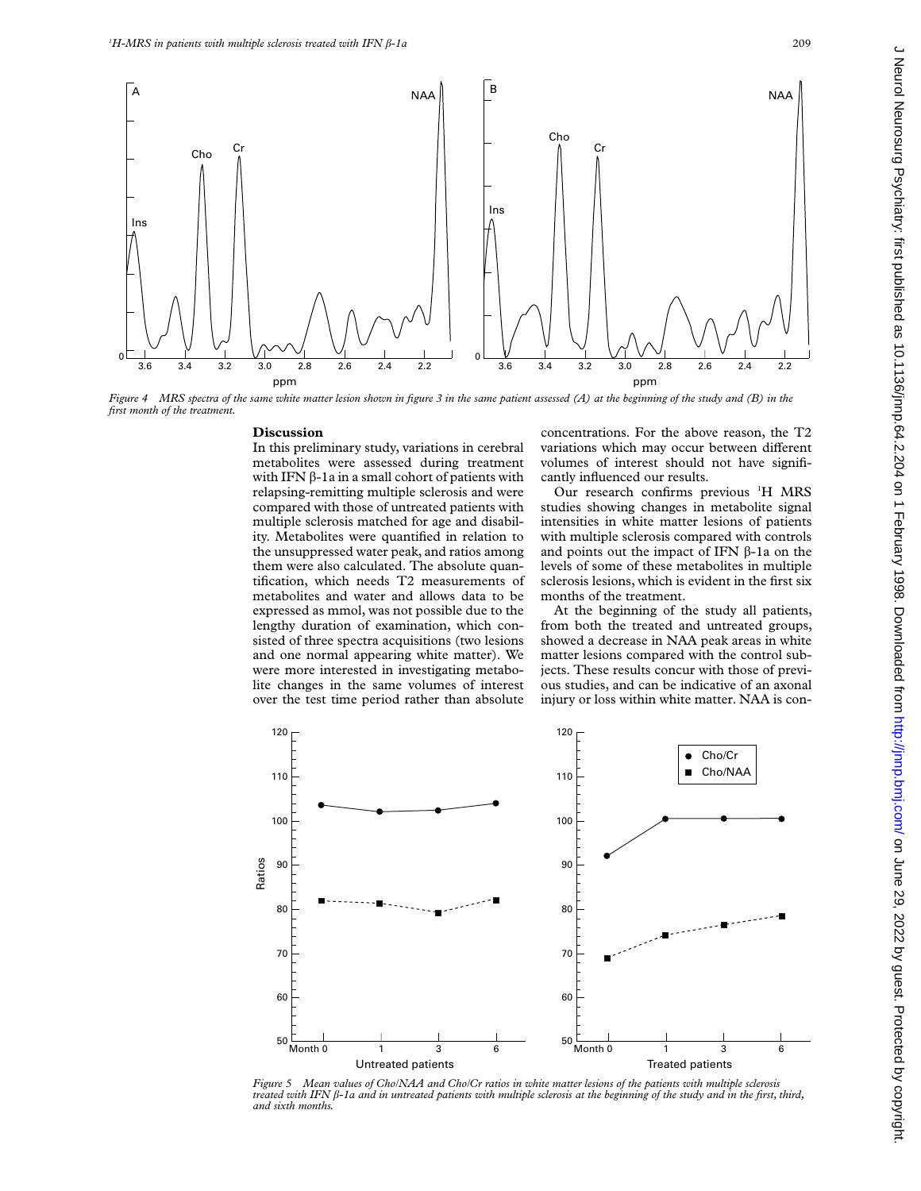

*Figure 4 MRS spectra of the same white matter lesion shown in figure 3 in the same patient assessed (A) at the beginning of the study and (B) in the first month of the treatment.*

#### **Discussion**

In this preliminary study, variations in cerebral metabolites were assessed during treatment with IFN  $\beta$ -1a in a small cohort of patients with relapsing-remitting multiple sclerosis and were compared with those of untreated patients with multiple sclerosis matched for age and disability. Metabolites were quantified in relation to the unsuppressed water peak, and ratios among them were also calculated. The absolute quantification, which needs T2 measurements of metabolites and water and allows data to be expressed as mmol, was not possible due to the lengthy duration of examination, which consisted of three spectra acquisitions (two lesions and one normal appearing white matter). We were more interested in investigating metabolite changes in the same volumes of interest over the test time period rather than absolute

concentrations. For the above reason, the T2 variations which may occur between different volumes of interest should not have significantly influenced our results.

Our research confirms previous <sup>1</sup>H MRS studies showing changes in metabolite signal intensities in white matter lesions of patients with multiple sclerosis compared with controls and points out the impact of IFN  $\beta$ -1a on the levels of some of these metabolites in multiple sclerosis lesions, which is evident in the first six months of the treatment.

At the beginning of the study all patients, from both the treated and untreated groups, showed a decrease in NAA peak areas in white matter lesions compared with the control subjects. These results concur with those of previous studies, and can be indicative of an axonal injury or loss within white matter. NAA is con-



*Figure 5 Mean values of Cho/NAA and Cho/Cr ratios in white matter lesions of the patients with multiple sclerosis treated with IFN â-1a and in untreated patients with multiple sclerosis at the beginning of the study and in the first, third, and sixth months.*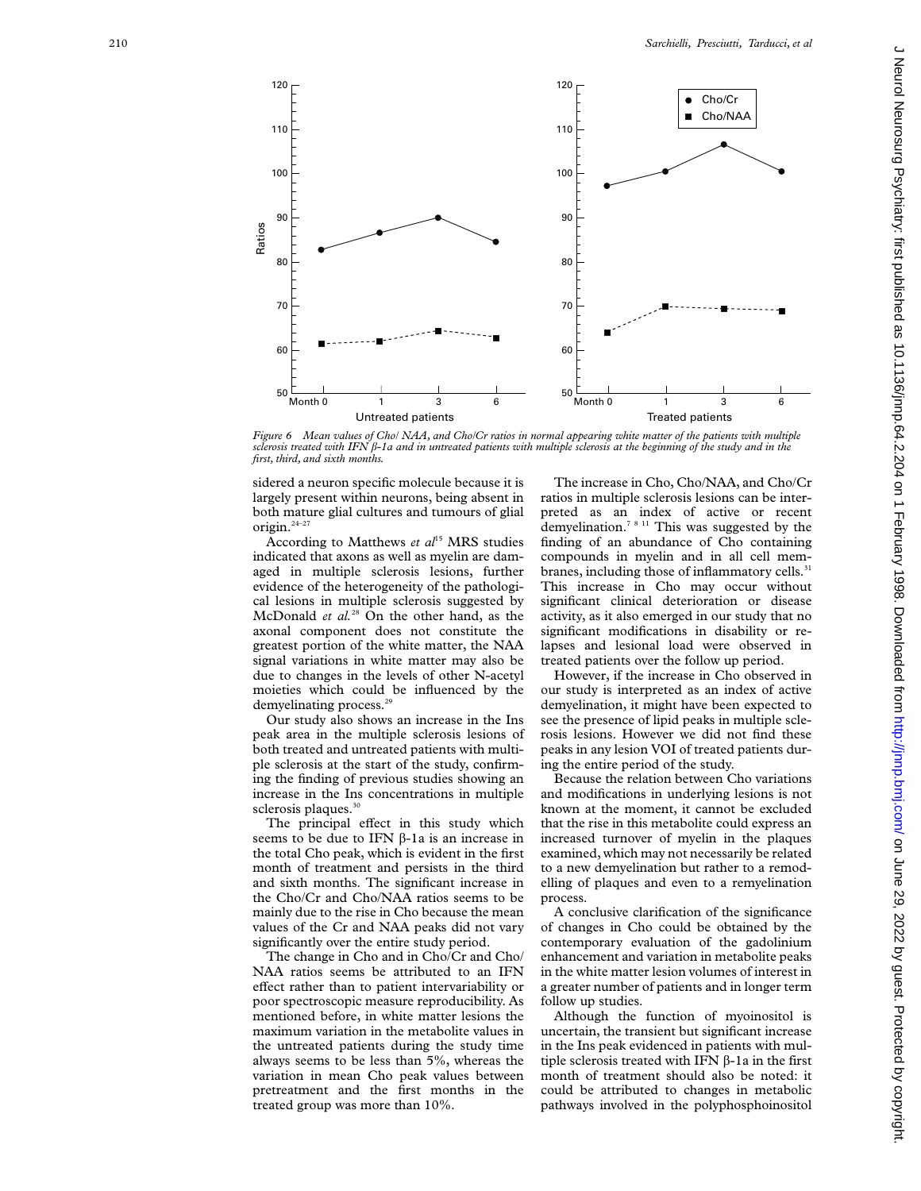

*Figure 6 Mean values of Cho/ NAA, and Cho/Cr ratios in normal appearing white matter of the patients with multiple sclerosis treated with IFN â-1a and in untreated patients with multiple sclerosis at the beginning of the study and in the first, third, and sixth months.*

sidered a neuron specific molecule because it is largely present within neurons, being absent in both mature glial cultures and tumours of glial origin.24–27

According to Matthews *et al*<sup>15</sup> MRS studies indicated that axons as well as myelin are damaged in multiple sclerosis lesions, further evidence of the heterogeneity of the pathological lesions in multiple sclerosis suggested by McDonald *et al.*<sup>28</sup> On the other hand, as the axonal component does not constitute the greatest portion of the white matter, the NAA signal variations in white matter may also be due to changes in the levels of other N-acetyl moieties which could be influenced by the demyelinating process.<sup>29</sup>

Our study also shows an increase in the Ins peak area in the multiple sclerosis lesions of both treated and untreated patients with multiple sclerosis at the start of the study, confirming the finding of previous studies showing an increase in the Ins concentrations in multiple sclerosis plaques.<sup>30</sup>

The principal effect in this study which seems to be due to IFN  $\beta$ -1a is an increase in the total Cho peak, which is evident in the first month of treatment and persists in the third and sixth months. The significant increase in the Cho/Cr and Cho/NAA ratios seems to be mainly due to the rise in Cho because the mean values of the Cr and NAA peaks did not vary significantly over the entire study period.

The change in Cho and in Cho/Cr and Cho/ NAA ratios seems be attributed to an IFN effect rather than to patient intervariability or poor spectroscopic measure reproducibility. As mentioned before, in white matter lesions the maximum variation in the metabolite values in the untreated patients during the study time always seems to be less than 5%, whereas the variation in mean Cho peak values between pretreatment and the first months in the treated group was more than 10%.

The increase in Cho, Cho/NAA, and Cho/Cr ratios in multiple sclerosis lesions can be interpreted as an index of active or recent demyelination.7 8 11 This was suggested by the finding of an abundance of Cho containing compounds in myelin and in all cell membranes, including those of inflammatory cells.<sup>31</sup> This increase in Cho may occur without significant clinical deterioration or disease activity, as it also emerged in our study that no significant modifications in disability or relapses and lesional load were observed in treated patients over the follow up period.

However, if the increase in Cho observed in our study is interpreted as an index of active demyelination, it might have been expected to see the presence of lipid peaks in multiple sclerosis lesions. However we did not find these peaks in any lesion VOI of treated patients during the entire period of the study.

Because the relation between Cho variations and modifications in underlying lesions is not known at the moment, it cannot be excluded that the rise in this metabolite could express an increased turnover of myelin in the plaques examined, which may not necessarily be related to a new demyelination but rather to a remodelling of plaques and even to a remyelination process.

A conclusive clarification of the significance of changes in Cho could be obtained by the contemporary evaluation of the gadolinium enhancement and variation in metabolite peaks in the white matter lesion volumes of interest in a greater number of patients and in longer term follow up studies.

Although the function of myoinositol is uncertain, the transient but significant increase in the Ins peak evidenced in patients with multiple sclerosis treated with IFN  $\beta$ -1a in the first month of treatment should also be noted: it could be attributed to changes in metabolic pathways involved in the polyphosphoinositol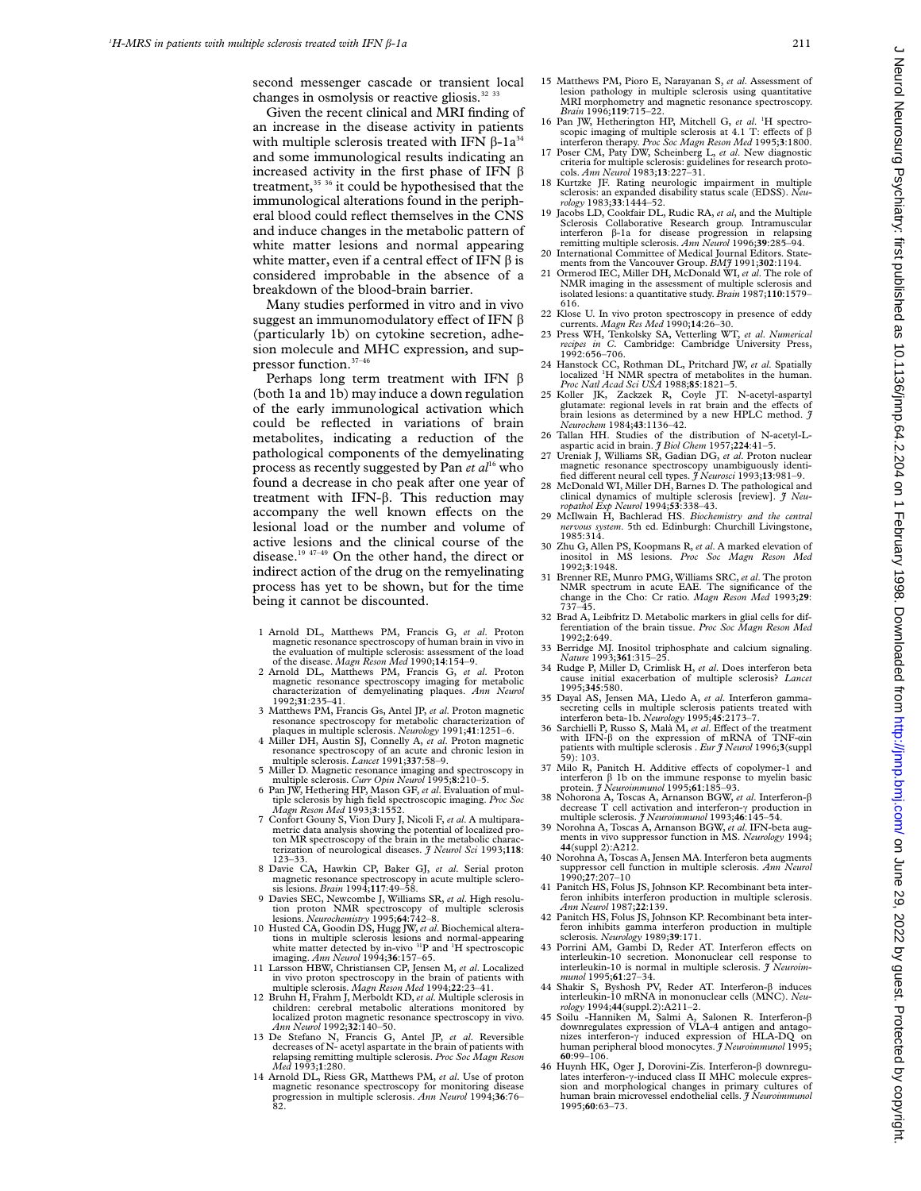second messenger cascade or transient local changes in osmolysis or reactive gliosis.<sup>32</sup><sup>33</sup>

Given the recent clinical and MRI finding of an increase in the disease activity in patients with multiple sclerosis treated with IFN  $\beta$ -1a<sup>34</sup> and some immunological results indicating an increased activity in the first phase of IFN  $\beta$ treatment, $35 \frac{36}{10}$  it could be hypothesised that the immunological alterations found in the peripheral blood could reflect themselves in the CNS and induce changes in the metabolic pattern of white matter lesions and normal appearing white matter, even if a central effect of IFN  $\beta$  is considered improbable in the absence of a breakdown of the blood-brain barrier.

Many studies performed in vitro and in vivo suggest an immunomodulatory effect of IFN  $\beta$ (particularly 1b) on cytokine secretion, adhesion molecule and MHC expression, and suppressor function.37–46

Perhaps long term treatment with IFN  $\beta$ (both 1a and 1b) may induce a down regulation of the early immunological activation which could be reflected in variations of brain metabolites, indicating a reduction of the pathological components of the demyelinating process as recently suggested by Pan *et al*<sup>16</sup> who found a decrease in cho peak after one year of treatment with IFN- $\beta$ . This reduction may accompany the well known effects on the lesional load or the number and volume of active lesions and the clinical course of the disease.19 47–49 On the other hand, the direct or indirect action of the drug on the remyelinating process has yet to be shown, but for the time being it cannot be discounted.

- 1 Arnold DL, Matthews PM, Francis G, *et al*. Proton magnetic resonance spectroscopy of human brain in vivo in the evaluation of multiple sclerosis: assessment of the load of the disease. *Magn Reson Med* 1990;**14**:154–9. 2 Arnold DL, Matthews PM, Francis G, *et al*. Proton
- magnetic resonance spectroscopy imaging for metabolic characterization of demyelinating plaques. *Ann Neurol* 1992;**31**:235–41.
- 3 Matthews PM, Francis Gs, Antel JP, *et al*. Proton magnetic resonance spectroscopy for metabolic characterization of plaques in multiple sclerosis. *Neurology* 1991;41:1251–6.
- 4 Miller DH, Austin SJ, Connelly A, *et al.* Proton magnetic resonance spectroscopy of an acute and chronic lesion in multiple sclerosis. *Lancet* 1991;**337**:58–9.
- 5 Miller D. Magnetic resonance imaging and spectroscopy in
- multiple sclerosis. *Curr Opin Neurol* 1995;**8**:210–5. 6 Pan JW, Hethering HP, Mason GF, *et al*. Evaluation of mul-tiple sclerosis by high field spectroscopic imaging. *Proc Soc*
- *Magn Reson Med* 1993;3:1552.<br>7 Confort Gouny S, Vion Dury J, Nicoli F, *et al.* A multiparametric data analysis showing the potential of localized pro-<br>ton MR spectroscopy of the brain in the metabolic characterization of neurological diseases. *J Neurol Sci* 1993;**118**: 123–33.
- 8 Davie CA, Hawkin CP, Baker GJ, *et al*. Serial proton magnetic resonance spectroscopy in acute multiple sclero-sis lesions. *Brain* 1994;**117**:49–58.
- 9 Davies SEC, Newcombe J, Williams SR, *et al*. High resolution proton NMR spectroscopy of multiple sclerosis<br>lesions. Neurochemistry 1995;64:742–8.
- 10 Husted CA, Goodin DS, Hugg JW, et al. Biochemical alterations in multiple sclerosis lesions and normal-appearing white matter detected by in-vivo 31P and <sup>1</sup> H spectroscopic
- 11 Larsson HBW, Christiansen CP, Jensen M, *et al.* Localized in vivo proton spectroscopy in the brain of patients with multiple sclerosis. *Magn Reson Med* 1994;**22**:23–41. 12 Bruhn H, Frahm J, Merboldt KD, *et al*. Multiple sclerosis in
- children: cerebral metabolic alterations monitored by localized proton magnetic resonance spectroscopy in vivo. *Ann Neurol* 1992;**32**:140–50.
- 13 De Stefano N, Francis G, Antel JP, *et al*. Reversible decreases of N- acetyl aspartate in the brain of patients with relapsing remitting multiple sclerosis. *Proc Soc Magn Reson Med* 1993;**1**:280.
- 14 Arnold DL, Riess GR, Matthews PM, *et al*. Use of proton magnetic resonance spectroscopy for monitoring disease progression in multiple sclerosis. *Ann Neurol* 1994;**36**:76– 82.
- 15 Matthews PM, Pioro E, Narayanan S, *et al*. Assessment of lesion pathology in multiple sclerosis using quantitative MRI morphometry and magnetic resonance spectroscopy. *Brain* 1996;**119**:715–22.
- 16 Pan JW, Hetherington HP, Mitchell G, et al. <sup>1</sup>H spectroscopic imaging of multiple sclerosis at  $4.1$  T: effects of  $\beta$ interferon therapy. *Proc Soc Magn Reson Med* 1995;**3**:1800.
- 17 Poser CM, Paty DW, Scheinberg L, *et al*. New diagnostic criteria for multiple sclerosis: guidelines for research protocols. *Ann Neurol* 1983;**13**:227–31.
- 18 Kurtzke JF. Rating neurologic impairment in multiple sclerosis: an expanded disability status scale (EDSS). *Neu-rology* 1983;**33**:1444–52.
- 19 Jacobs LD, Cookfair DL, Rudic RA, *et al*, and the Multiple Sclerosis Collaborative Research group. Intramuscular interferon â-1a for disease progression in relapsing remitting multiple sclerosis. *Ann Neurol* 1996;**39**:285–94.
- 20 International Committee of Medical Journal Editors. State-ments from the Vancouver Group. *BMJ* 1991;**302**:1194.
- 21 Ormerod IEC, Miller DH, McDonald WI, *et al*. The role of NMR imaging in the assessment of multiple sclerosis and isolated lesions: a quantitative study. *Brain* 1987;**110**:1579– 616.
- 22 Klose U. In vivo proton spectroscopy in presence of eddy currents. *Magn Res Med* 1990;**14**:26–30.
- 23 Press WH, Tenkolsky SA, Vetterling WT, *et al*. *Numerical recipes in C.* Cambridge: Cambridge University Press, 1992:656–706.
- 24 Hanstock CC, Rothman DL, Pritchard JW, *et al*. Spatially localized <sup>1</sup> H NMR spectra of metabolites in the human. *Proc Natl Acad Sci USA* 1988;**85**:1821–5.
- 25 Koller JK, Zackzek R, Coyle JT. N-acetyl-aspartyl glutamate: regional levels in rat brain and the effects of brain lesions as determined by a new HPLC method. *J Neurochem* 1984;**43**:1136–42.
- 26 Tallan HH. Studies of the distribution of N-acetyl-L-aspartic acid in brain. *J Biol Chem* 1957;**224**:41–5. 27 Ureniak J, Williams SR, Gadian DG, *et al*. Proton nuclear
- magnetic resonance spectroscopy unambiguously identidifferent neural cell types.  $\hat{\jmath}$  Neurosci 1993;13:981-9.
- 28 McDonald WI, Miller DH, Barnes D. The pathological and clinical dynamics of multiple sclerosis [review]. *J Neuropathol Exp Neurol* 1994;**53**:338–43.
- 29 McIlwain H, Bachlerad HS. *Biochemistry and the central nervous system*. 5th ed. Edinburgh: Churchill Livingstone, 1985:314.
- 30 Zhu G, Allen PS, Koopmans R, *et al*. A marked elevation of inositol in MS lesions. *Proc Soc Magn Reson Med* 1992;**3**:1948.
- 31 Brenner RE, Munro PMG, Williams SRC,*et al*. The proton NMR spectrum in acute EAE. The significance of the change in the Cho: Cr ratio. *Magn Reson Med* 1993;**29**: 737–45.
- 32 Brad A, Leibfritz D. Metabolic markers in glial cells for differentiation of the brain tissue. *Proc Soc Magn Reson Med* 1992;**2**:649.
- 33 Berridge MJ. Inositol triphosphate and calcium signaling. *Nature* 1993;**361**:315–25.
- 34 Rudge P, Miller D, Crimlisk H, *et al*. Does interferon beta cause initial exacerbation of multiple sclerosis? *Lancet* 1995;**345**:580.
- 35 Dayal AS, Jensen MA, Lledo A, *et al*. Interferon gammasecreting cells in multiple sclerosis patients treated with<br>interferon beta-1b. *Neurology* 1995;**45**:2173–7.<br>36 Sarchielli P, Russo S, Malà M, *et al.* Effect of the treatment
- with IFN- $\beta$  on the expression of mRNA of TNF- $\alpha$ in patients with multiple sclerosis . *Eur J Neurol* 1996;**3**(suppl 59): 103.
- 37 Milo R, Panitch H. Additive effects of copolymer-1 and interferon â 1b on the immune response to myelin basic protein. *J Neuroimmunol* 1995;**61**:185–93.
- 38 Nohorona A, Toscas A, Arnanson BGW, *et al*. Interferon-â decrease T cell activation and interferon-γ production in multiple sclerosis. *J Neuroimmunol* 1993;46:145–54.
- 39 Norohna A, Toscas A, Arnanson BGW, *et al*. IFN-beta aug-ments in vivo suppressor function in MS. *Neurology* 1994; **44**(suppl 2):A212.
- 40 Norohna A, Toscas A, Jensen MA. Interferon beta augments suppressor cell function in multiple sclerosis. *Ann Neurol* 1990;**27**:207–10
- 41 Panitch HS, Folus JS, Johnson KP. Recombinant beta interferon inhibits interferon production in multiple sclerosis. *Ann Neurol* 1987;**22**:139.
- Panitch HS, Folus JS, Johnson KP. Recombinant beta interferon inhibits gamma interferon production in multiple sclerosis. *Neurology* 1989;**39**:171.
- 43 Porrini AM, Gambi D, Reder AT. Interferon effects on interleukin-10 secretion. Mononuclear cell response to interleukin-10 is normal in multiple sclerosis. *J Neuroimmunol* 1995;**61**:27–34.
- 44 Shakir S, Byshosh PV, Reder AT. Interferon-â induces interleukin-10 mRNA in mononuclear cells (MNC). *Neu-*
- *rology* 1994;44(suppl.2):A211–2.<br>45 Soilu -Hanniken M, Salmi A, Salonen R. Interferon-<sup>6</sup><br>downregulates expression of VLA-4 antigen and antago-<br>nizes interferon- $\gamma$  induced expression of HLA-DQ on human peripheral blood monocytes. *J Neuroimmunol* 1995; **<sup>60</sup>**:99–106.
- 46 Huynh HK, Oger J, Dorovini-Zis. Interferon-β downregu-<br>lates interferon-γ-induced class II MHC molecule expression and morphological changes in primary cultures of human brain microvessel endothelial cells. *J Neuroimmunol* 1995;**60**:63–73.